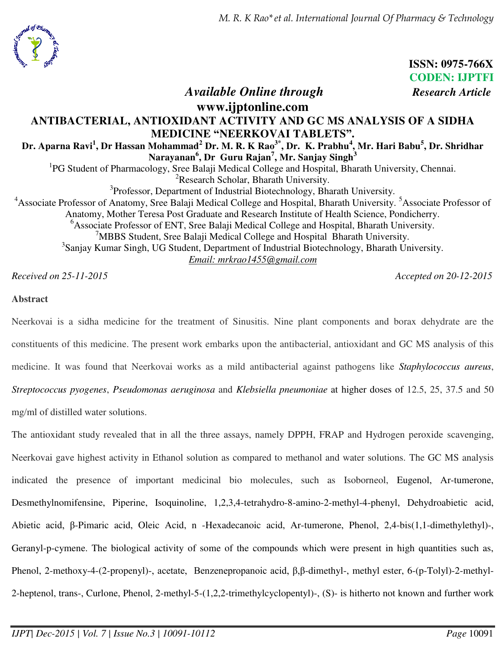*M. R. K Rao\*et al. International Journal Of Pharmacy & Technology* 



**CODEN: IJPTFI**  *Available Online through Research Article* **www.ijptonline.com ANTIBACTERIAL, ANTIOXIDANT ACTIVITY AND GC MS ANALYSIS OF A SIDHA MEDICINE "NEERKOVAI TABLETS". Dr. Aparna Ravi<sup>1</sup> , Dr Hassan Mohammad<sup>2</sup> Dr. M. R. K Rao3\*, Dr. K. Prabhu<sup>4</sup> , Mr. Hari Babu<sup>5</sup> , Dr. Shridhar Narayanan<sup>6</sup> , Dr Guru Rajan<sup>7</sup> , Mr. Sanjay Singh<sup>3</sup>** <sup>1</sup>PG Student of Pharmacology, Sree Balaji Medical College and Hospital, Bharath University, Chennai. <sup>2</sup>Research Scholar, Bharath University. <sup>3</sup>Professor, Department of Industrial Biotechnology, Bharath University. <sup>4</sup>Associate Professor of Anatomy, Sree Balaji Medical College and Hospital, Bharath University. <sup>5</sup>Associate Professor of Anatomy, Mother Teresa Post Graduate and Research Institute of Health Science, Pondicherry. <sup>6</sup>Associate Professor of ENT, Sree Balaji Medical College and Hospital, Bharath University. <sup>7</sup>MBBS Student, Sree Balaji Medical College and Hospital Bharath University. <sup>3</sup>Sanjay Kumar Singh, UG Student, Department of Industrial Biotechnology, Bharath University. *Email: [mrkrao1455@gmail.com](mailto:mrkrao1455@gmail.com)*

*Received on 25-11-2015 Accepted on 20-12-2015*

**ISSN: 0975-766X**

## **Abstract**

Neerkovai is a sidha medicine for the treatment of Sinusitis. Nine plant components and borax dehydrate are the constituents of this medicine. The present work embarks upon the antibacterial, antioxidant and GC MS analysis of this medicine. It was found that Neerkovai works as a mild antibacterial against pathogens like *Staphylococcus aureus*, *Streptococcus pyogenes*, *Pseudomonas aeruginosa* and *Klebsiella pneumoniae* at higher doses of 12.5, 25, 37.5 and 50 mg/ml of distilled water solutions.

The antioxidant study revealed that in all the three assays, namely DPPH, FRAP and Hydrogen peroxide scavenging, Neerkovai gave highest activity in Ethanol solution as compared to methanol and water solutions. The GC MS analysis indicated the presence of important medicinal bio molecules, such as Isoborneol, Eugenol, Ar-tumerone, Desmethylnomifensine, Piperine, Isoquinoline, 1,2,3,4-tetrahydro-8-amino-2-methyl-4-phenyl, Dehydroabietic acid, Abietic acid, β-Pimaric acid, Oleic Acid, n -Hexadecanoic acid, Ar-tumerone, Phenol, 2,4-bis(1,1-dimethylethyl)-, Geranyl-p-cymene. The biological activity of some of the compounds which were present in high quantities such as, Phenol, 2-methoxy-4-(2-propenyl)-, acetate, Benzenepropanoic acid,  $\beta$ , $\beta$ -dimethyl-, methyl ester, 6-(p-Tolyl)-2-methyl-2-heptenol, trans-, Curlone, Phenol, 2-methyl-5-(1,2,2-trimethylcyclopentyl)-, (S)- is hitherto not known and further work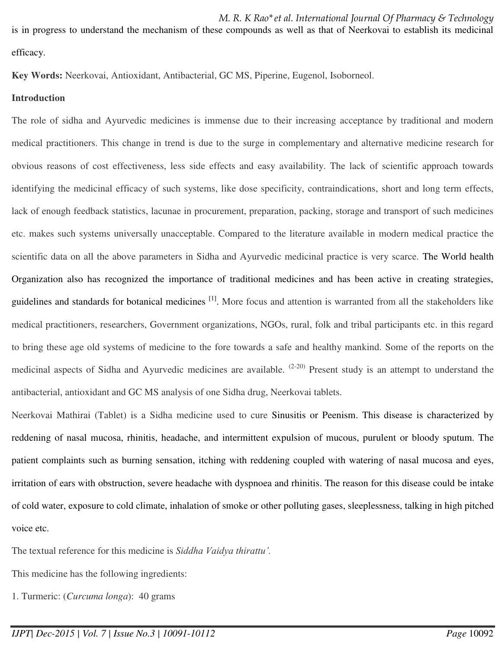*M. R. K Rao\*et al. International Journal Of Pharmacy & Technology*  is in progress to understand the mechanism of these compounds as well as that of Neerkovai to establish its medicinal efficacy.

**Key Words:** Neerkovai, Antioxidant, Antibacterial, GC MS, Piperine, Eugenol, Isoborneol.

### **Introduction**

The role of sidha and Ayurvedic medicines is immense due to their increasing acceptance by traditional and modern medical practitioners. This change in trend is due to the surge in complementary and alternative medicine research for obvious reasons of cost effectiveness, less side effects and easy availability. The lack of scientific approach towards identifying the medicinal efficacy of such systems, like dose specificity, contraindications, short and long term effects, lack of enough feedback statistics, lacunae in procurement, preparation, packing, storage and transport of such medicines etc. makes such systems universally unacceptable. Compared to the literature available in modern medical practice the scientific data on all the above parameters in Sidha and Ayurvedic medicinal practice is very scarce. The World health Organization also has recognized the importance of traditional medicines and has been active in creating strategies, guidelines and standards for botanical medicines [1]. More focus and attention is warranted from all the stakeholders like medical practitioners, researchers, Government organizations, NGOs, rural, folk and tribal participants etc. in this regard to bring these age old systems of medicine to the fore towards a safe and healthy mankind. Some of the reports on the medicinal aspects of Sidha and Ayurvedic medicines are available.  $(2-20)$  Present study is an attempt to understand the antibacterial, antioxidant and GC MS analysis of one Sidha drug, Neerkovai tablets.

Neerkovai Mathirai (Tablet) is a Sidha medicine used to cure Sinusitis or Peenism. This disease is characterized by reddening of nasal mucosa, rhinitis, headache, and intermittent expulsion of mucous, purulent or bloody sputum. The patient complaints such as burning sensation, itching with reddening coupled with watering of nasal mucosa and eyes, irritation of ears with obstruction, severe headache with dyspnoea and rhinitis. The reason for this disease could be intake of cold water, exposure to cold climate, inhalation of smoke or other polluting gases, sleeplessness, talking in high pitched voice etc.

The textual reference for this medicine is *Siddha Vaidya thirattu'.*

This medicine has the following ingredients:

1. Turmeric: (*Curcuma longa*): 40 grams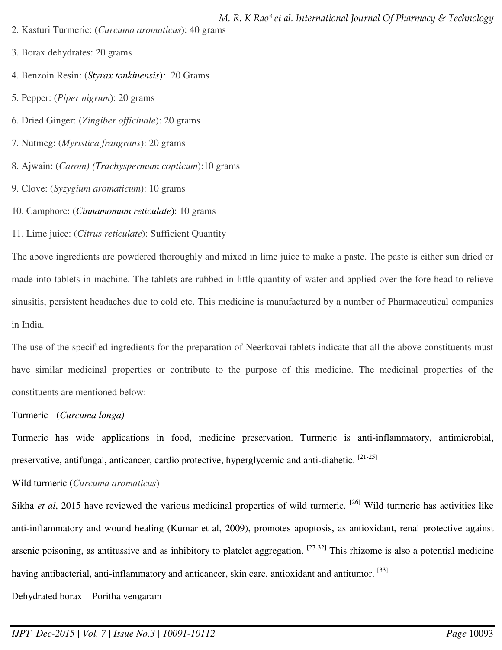- 2. Kasturi Turmeric: (*Curcuma aromaticus*): 40 grams
- *M. R. K Rao\*et al. International Journal Of Pharmacy & Technology*

- 3. Borax dehydrates: 20 grams
- 4. Benzoin Resin: (*Styrax tonkinensis*)*:* 20 Grams
- 5. Pepper: (*Piper nigrum*): 20 grams
- 6. Dried Ginger: (*Zingiber officinale*): 20 grams
- 7. Nutmeg: (*Myristica frangrans*): 20 grams
- 8. Ajwain: (*Carom) (Trachyspermum copticum*):10 grams
- 9. Clove: (*Syzygium aromaticum*): 10 grams
- 10. Camphore: (*Cinnamomum reticulate*): 10 grams
- 11. Lime juice: (*Citrus reticulate*): Sufficient Quantity

The above ingredients are powdered thoroughly and mixed in lime juice to make a paste. The paste is either sun dried or made into tablets in machine. The tablets are rubbed in little quantity of water and applied over the fore head to relieve sinusitis, persistent headaches due to cold etc. This medicine is manufactured by a number of Pharmaceutical companies in India.

The use of the specified ingredients for the preparation of Neerkovai tablets indicate that all the above constituents must have similar medicinal properties or contribute to the purpose of this medicine. The medicinal properties of the constituents are mentioned below:

# [Turmeric -](http://en.wikipedia.org/wiki/Turmeric) (*Curcuma longa)*

Turmeric has wide applications in food, medicine preservation. Turmeric is anti-inflammatory, antimicrobial, preservative, antifungal, anticancer, cardio protective, hyperglycemic and anti-diabetic. <sup>[21-25]</sup>

# Wild turmeric (*Curcuma aromaticus*)

Sikha *et al*, 2015 have reviewed the various medicinal properties of wild turmeric. <sup>[26]</sup> Wild turmeric has activities like anti-inflammatory and wound healing (Kumar et al, 2009), promotes apoptosis, as antioxidant, renal protective against arsenic poisoning, as antitussive and as inhibitory to platelet aggregation.  $[27-32]$  This rhizome is also a potential medicine having antibacterial, anti-inflammatory and anticancer, skin care, antioxidant and antitumor. [33]

Dehydrated borax – [Poritha vengaram](http://en.wikipedia.org/wiki/Borax)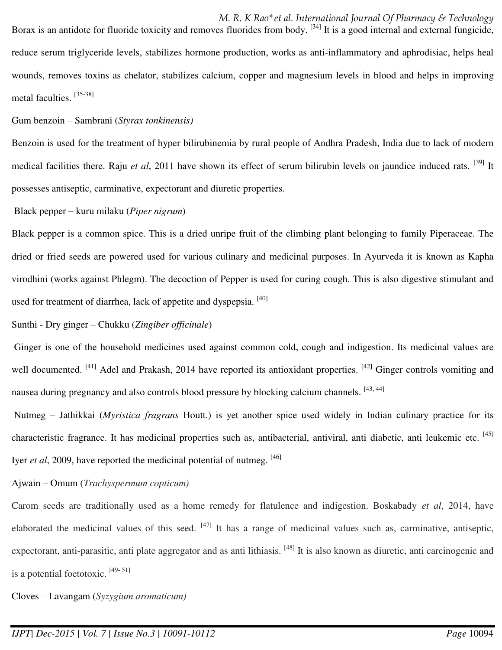[Gum benzoin](http://en.wikipedia.org/wiki/Benzoin_resin) – Sambrani (*Styrax tonkinensis)* 

Benzoin is used for the treatment of hyper bilirubinemia by rural people of Andhra Pradesh, India due to lack of modern medical facilities there. Raju *et al*, 2011 have shown its effect of serum bilirubin levels on jaundice induced rats. [39] It possesses antiseptic, carminative, expectorant and diuretic properties.

Black pepper – kuru milaku (*Piper nigrum*)

Black pepper is a common spice. This is a dried unripe fruit of the climbing plant belonging to family Piperaceae. The dried or fried seeds are powered used for various culinary and medicinal purposes. In Ayurveda it is known as Kapha virodhini (works against Phlegm). The decoction of Pepper is used for curing cough. This is also digestive stimulant and used for treatment of diarrhea, lack of appetite and dyspepsia. <sup>[40]</sup>

Sunthi - Dry ginger – Chukku (*Zingiber officinale*)

Ginger is one of the household medicines used against common cold, cough and indigestion. Its medicinal values are well documented. <sup>[41]</sup> Adel and Prakash, 2014 have reported its antioxidant properties. <sup>[42]</sup> Ginger controls vomiting and nausea during pregnancy and also controls blood pressure by blocking calcium channels. [43,44]

 Nutmeg – [Jathikkai](http://en.wikipedia.org/wiki/Nutmeg) (*Myristica fragrans* Houtt.) is yet another spice used widely in Indian culinary practice for its characteristic fragrance. It has medicinal properties such as, antibacterial, antiviral, anti diabetic, anti leukemic etc. [45] Iyer *et al*, 2009, have reported the medicinal potential of nutmeg. [46]

Ajwain – [Omum](http://en.wikipedia.org/wiki/Ajwain) (*Trachyspermum copticum)* 

Carom seeds are traditionally used as a home remedy for flatulence and indigestion. Boskabady *et al*, 2014, have elaborated the medicinal values of this seed. [47] It has a range of medicinal values such as, carminative, antiseptic, expectorant, anti-parasitic, anti plate aggregator and as anti lithiasis. [48] It is also known as diuretic, anti carcinogenic and is a potential foetotoxic. [49- 51]

Cloves – [Lavangam](http://en.wikipedia.org/wiki/Clove) (*Syzygium aromaticum)*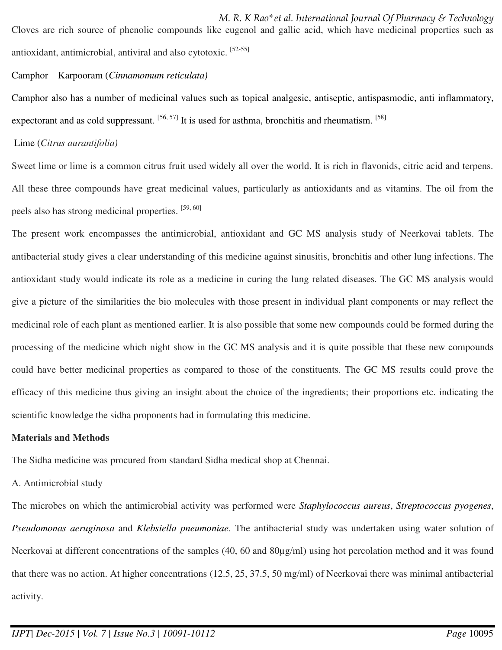*M. R. K Rao\*et al. International Journal Of Pharmacy & Technology*  Cloves are rich source of phenolic compounds like eugenol and gallic acid, which have medicinal properties such as antioxidant, antimicrobial, antiviral and also cytotoxic. [52-55]

## Camphor – [Karpooram](http://en.wikipedia.org/wiki/Camphor) (*Cinnamomum reticulata)*

Camphor also has a number of medicinal values such as topical analgesic, antiseptic, antispasmodic, anti inflammatory, expectorant and as cold suppressant.  $[56, 57]$  It is used for asthma, bronchitis and rheumatism.  $[58]$ 

## Lime (*Citrus aurantifolia)*

Sweet lime or lime is a common citrus fruit used widely all over the world. It is rich in flavonids, citric acid and terpens. All these three compounds have great medicinal values, particularly as antioxidants and as vitamins. The oil from the peels also has strong medicinal properties. [59, 60]

The present work encompasses the antimicrobial, antioxidant and GC MS analysis study of Neerkovai tablets. The antibacterial study gives a clear understanding of this medicine against sinusitis, bronchitis and other lung infections. The antioxidant study would indicate its role as a medicine in curing the lung related diseases. The GC MS analysis would give a picture of the similarities the bio molecules with those present in individual plant components or may reflect the medicinal role of each plant as mentioned earlier. It is also possible that some new compounds could be formed during the processing of the medicine which night show in the GC MS analysis and it is quite possible that these new compounds could have better medicinal properties as compared to those of the constituents. The GC MS results could prove the efficacy of this medicine thus giving an insight about the choice of the ingredients; their proportions etc. indicating the scientific knowledge the sidha proponents had in formulating this medicine.

# **Materials and Methods**

The Sidha medicine was procured from standard Sidha medical shop at Chennai.

# A. Antimicrobial study

The microbes on which the antimicrobial activity was performed were *Staphylococcus aureus*, *Streptococcus pyogenes*, *Pseudomonas aeruginosa* and *Klebsiella pneumoniae*. The antibacterial study was undertaken using water solution of Neerkovai at different concentrations of the samples (40, 60 and 80µg/ml) using hot percolation method and it was found that there was no action. At higher concentrations (12.5, 25, 37.5, 50 mg/ml) of Neerkovai there was minimal antibacterial activity.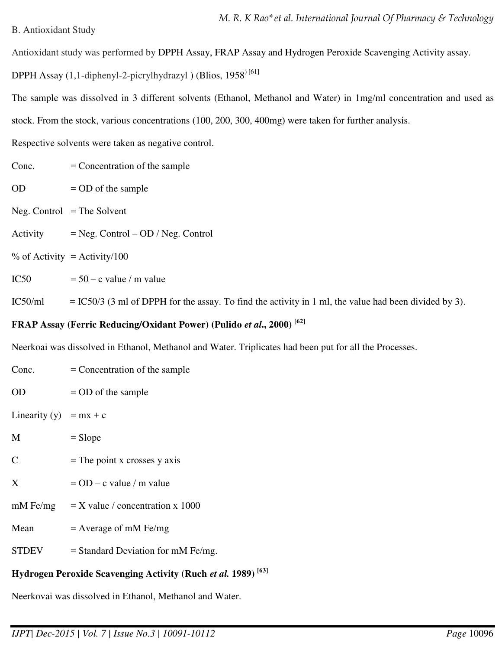### B. Antioxidant Study

Antioxidant study was performed by DPPH Assay, FRAP Assay and Hydrogen Peroxide Scavenging Activity assay.

DPPH Assay  $(1,1$ -diphenyl-2-picrylhydrazyl) (Blios,  $1958$ <sup>[61]</sup>

The sample was dissolved in 3 different solvents (Ethanol, Methanol and Water) in 1mg/ml concentration and used as stock. From the stock, various concentrations (100, 200, 300, 400mg) were taken for further analysis.

Respective solvents were taken as negative control.

- $Cone. = Concentration of the sample$
- $OD = OD$  of the sample
- $Neg.$  Control = The Solvent
- Activity  $=$  Neg. Control OD / Neg. Control
- $%$  of Activity = Activity/100
- IC50  $= 50 c$  value / m value

IC50/ml = IC50/3 (3 ml of DPPH for the assay. To find the activity in 1 ml, the value had been divided by 3).

# **FRAP Assay (Ferric Reducing/Oxidant Power) (Pulido** *et al***., 2000) [62]**

Neerkoai was dissolved in Ethanol, Methanol and Water. Triplicates had been put for all the Processes.

| Conc.                                                                    | $=$ Concentration of the sample      |  |  |  |
|--------------------------------------------------------------------------|--------------------------------------|--|--|--|
| <b>OD</b>                                                                | $=$ OD of the sample                 |  |  |  |
| Linearity (y) = mx + c                                                   |                                      |  |  |  |
| M                                                                        | $=$ Slope                            |  |  |  |
| C                                                                        | $=$ The point x crosses y axis       |  |  |  |
| X                                                                        | $=$ OD – c value / m value           |  |  |  |
| $mM$ Fe/mg                                                               | $= X$ value / concentration x 1000   |  |  |  |
| Mean                                                                     | $=$ Average of mM Fe/mg              |  |  |  |
| <b>STDEV</b>                                                             | $=$ Standard Deviation for mM Fe/mg. |  |  |  |
| Hydrogen Peroxide Scavenging Activity (Ruch et al. 1989) <sup>[63]</sup> |                                      |  |  |  |
| Neerkovai was dissolved in Ethanol, Methanol and Water.                  |                                      |  |  |  |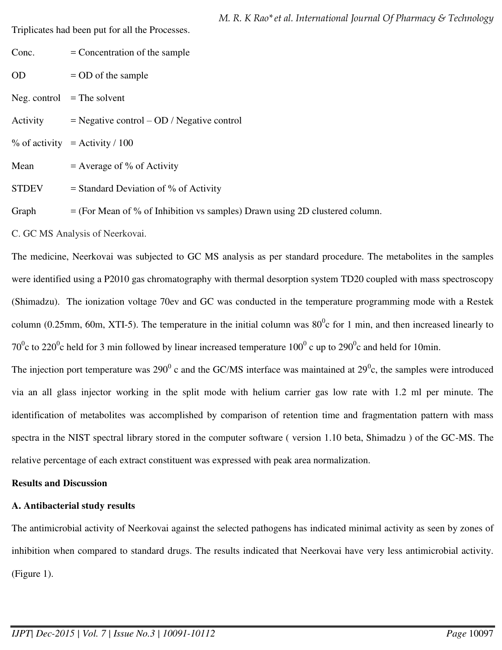Triplicates had been put for all the Processes.

| Conc.        | $=$ Concentration of the sample                                                                                                                                                                                                                                                                                                        |
|--------------|----------------------------------------------------------------------------------------------------------------------------------------------------------------------------------------------------------------------------------------------------------------------------------------------------------------------------------------|
| <b>OD</b>    | $=$ OD of the sample                                                                                                                                                                                                                                                                                                                   |
|              | Neg. control $=$ The solvent                                                                                                                                                                                                                                                                                                           |
| Activity     | $=$ Negative control $-$ OD / Negative control                                                                                                                                                                                                                                                                                         |
|              | $\%$ of activity = Activity / 100                                                                                                                                                                                                                                                                                                      |
| Mean         | $=$ Average of % of Activity                                                                                                                                                                                                                                                                                                           |
| <b>STDEV</b> | $=$ Standard Deviation of % of Activity                                                                                                                                                                                                                                                                                                |
| $\sim$ $-1$  | $(\mathbf{E} \cdot \mathbf{M})$ $\mathbf{E} \cdot \mathbf{M}$ $\mathbf{L} \cdot \mathbf{L}$ $\mathbf{L} \cdot \mathbf{L}$ $\mathbf{L} \cdot \mathbf{L} \cdot \mathbf{L}$ $\mathbf{L} \cdot \mathbf{L} \cdot \mathbf{L}$ $\mathbf{L} \cdot \mathbf{L} \cdot \mathbf{L}$ $\mathbf{L} \cdot \mathbf{L} \cdot \mathbf{L} \cdot \mathbf{L}$ |

Graph  $=$  (For Mean of % of Inhibition vs samples) Drawn using 2D clustered column.

C. GC MS Analysis of Neerkovai.

The medicine, Neerkovai was subjected to GC MS analysis as per standard procedure. The metabolites in the samples were identified using a P2010 gas chromatography with thermal desorption system TD20 coupled with mass spectroscopy (Shimadzu). The ionization voltage 70ev and GC was conducted in the temperature programming mode with a Restek column (0.25mm, 60m, XTI-5). The temperature in the initial column was  $80^{\circ}$ c for 1 min, and then increased linearly to 70<sup>0</sup>c to 220<sup>0</sup>c held for 3 min followed by linear increased temperature 100<sup>0</sup> c up to 290<sup>0</sup>c and held for 10min.

The injection port temperature was 290 $^0$  c and the GC/MS interface was maintained at 29 $^0$ c, the samples were introduced via an all glass injector working in the split mode with helium carrier gas low rate with 1.2 ml per minute. The identification of metabolites was accomplished by comparison of retention time and fragmentation pattern with mass spectra in the NIST spectral library stored in the computer software ( version 1.10 beta, Shimadzu ) of the GC-MS. The relative percentage of each extract constituent was expressed with peak area normalization.

# **Results and Discussion**

# **A. Antibacterial study results**

The antimicrobial activity of Neerkovai against the selected pathogens has indicated minimal activity as seen by zones of inhibition when compared to standard drugs. The results indicated that Neerkovai have very less antimicrobial activity. (Figure 1).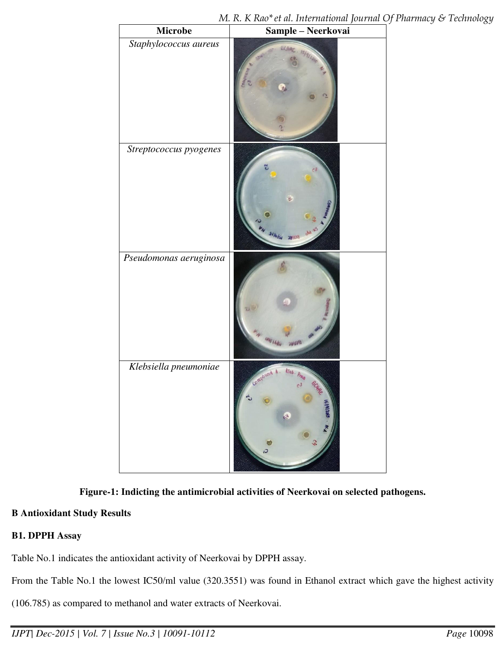| Microbe                | $\ddot{\phantom{1}}$<br>0 <i>vv</i> 1 <i>vv</i> v<br>Sample – Neerkovai |
|------------------------|-------------------------------------------------------------------------|
| Staphylococcus aureus  |                                                                         |
| Streptococcus pyogenes |                                                                         |
| Pseudomonas aeruginosa |                                                                         |
| Klebsiella pneumoniae  | kleb.<br>Compound A<br>$5$ ldinas<br>Q                                  |

# **Figure-1: Indicting the antimicrobial activities of Neerkovai on selected pathogens.**

# **B Antioxidant Study Results**

## **B1. DPPH Assay**

Table No.1 indicates the antioxidant activity of Neerkovai by DPPH assay.

From the Table No.1 the lowest IC50/ml value (320.3551) was found in Ethanol extract which gave the highest activity

(106.785) as compared to methanol and water extracts of Neerkovai.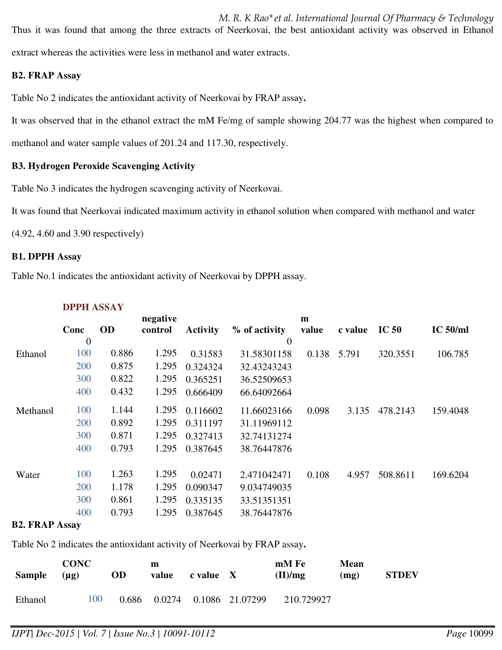*M. R. K Rao\*et al. International Journal Of Pharmacy & Technology*  Thus it was found that among the three extracts of Neerkovai, the best antioxidant activity was observed in Ethanol extract whereas the activities were less in methanol and water extracts.

## **B2. FRAP Assay**

Table No 2 indicates the antioxidant activity of Neerkovai by FRAP assay**.** 

It was observed that in the ethanol extract the mM Fe/mg of sample showing 204.77 was the highest when compared to

methanol and water sample values of 201.24 and 117.30, respectively.

## **B3. Hydrogen Peroxide Scavenging Activity**

Table No 3 indicates the hydrogen scavenging activity of Neerkovai.

It was found that Neerkovai indicated maximum activity in ethanol solution when compared with methanol and water

(4.92, 4.60 and 3.90 respectively)

### **B1. DPPH Assay**

Table No.1 indicates the antioxidant activity of Neerkovai by DPPH assay.

|          |                |           | negative |                 |                  | m     |         |                  |            |
|----------|----------------|-----------|----------|-----------------|------------------|-------|---------|------------------|------------|
|          | Conc           | <b>OD</b> | control  | <b>Activity</b> | % of activity    | value | c value | IC <sub>50</sub> | $IC$ 50/ml |
|          | $\overline{0}$ |           |          |                 | $\boldsymbol{0}$ |       |         |                  |            |
| Ethanol  | 100            | 0.886     | 1.295    | 0.31583         | 31.58301158      | 0.138 | 5.791   | 320.3551         | 106.785    |
|          | 200            | 0.875     | 1.295    | 0.324324        | 32.43243243      |       |         |                  |            |
|          | 300            | 0.822     | 1.295    | 0.365251        | 36.52509653      |       |         |                  |            |
|          | 400            | 0.432     | 1.295    | 0.666409        | 66.64092664      |       |         |                  |            |
| Methanol | 100            | 1.144     | 1.295    | 0.116602        | 11.66023166      | 0.098 | 3.135   | 478.2143         | 159.4048   |
|          | 200            | 0.892     | 1.295    | 0.311197        | 31.11969112      |       |         |                  |            |
|          | 300            | 0.871     | 1.295    | 0.327413        | 32.74131274      |       |         |                  |            |
|          | 400            | 0.793     | 1.295    | 0.387645        | 38.76447876      |       |         |                  |            |
| Water    | 100            | 1.263     | 1.295    | 0.02471         | 2.471042471      | 0.108 | 4.957   | 508.8611         | 169.6204   |
|          | 200            | 1.178     | 1.295    | 0.090347        | 9.034749035      |       |         |                  |            |
|          | 300            | 0.861     | 1.295    | 0.335135        | 33.51351351      |       |         |                  |            |
|          | 400            | 0.793     | 1.295    | 0.387645        | 38.76447876      |       |         |                  |            |

# **DPPH ASSAY**

### **B2. FRAP Assay**

Table No 2 indicates the antioxidant activity of Neerkovai by FRAP assay**.** 

| <b>Sample</b> | <b>CONC</b><br>$(\mu g)$ | OD    | m<br>value | c value X |                 | mM Fe<br>(II)/mg | Mean<br>(mg) | <b>STDEV</b> |
|---------------|--------------------------|-------|------------|-----------|-----------------|------------------|--------------|--------------|
| Ethanol       | 100                      | 0.686 | 0.0274     |           | 0.1086 21.07299 | 210.729927       |              |              |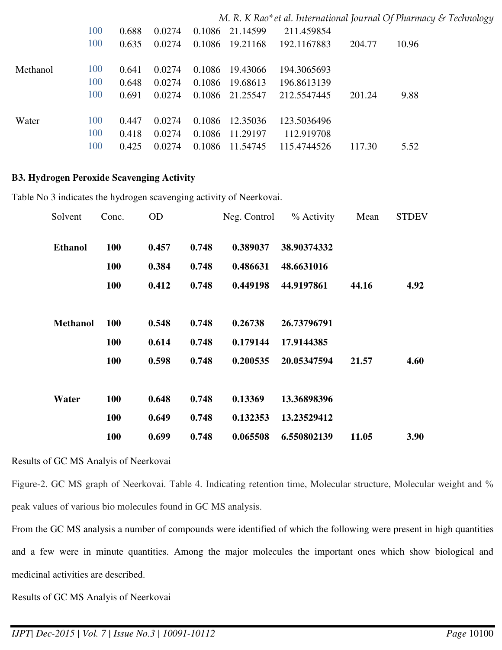|          |     |       |        |        |                 |             |        | M. R. K Rao* et al. International Journal Of Pharmacy & Technology |
|----------|-----|-------|--------|--------|-----------------|-------------|--------|--------------------------------------------------------------------|
|          | 100 | 0.688 | 0.0274 |        | 0.1086 21.14599 | 211.459854  |        |                                                                    |
|          | 100 | 0.635 | 0.0274 |        | 0.1086 19.21168 | 192.1167883 | 204.77 | 10.96                                                              |
| Methanol | 100 | 0.641 | 0.0274 |        | 0.1086 19.43066 | 194.3065693 |        |                                                                    |
|          | 100 | 0.648 | 0.0274 | 0.1086 | 19.68613        | 196.8613139 |        |                                                                    |
|          | 100 | 0.691 | 0.0274 |        | 0.1086 21.25547 | 212.5547445 | 201.24 | 9.88                                                               |
| Water    | 100 | 0.447 | 0.0274 |        | 0.1086 12.35036 | 123.5036496 |        |                                                                    |
|          | 100 | 0.418 | 0.0274 |        | 0.1086 11.29197 | 112.919708  |        |                                                                    |
|          | 100 | 0.425 | 0.0274 | 0.1086 | 11.54745        | 115.4744526 | 117.30 | 5.52                                                               |

#### **B3. Hydrogen Peroxide Scavenging Activity**

Table No 3 indicates the hydrogen scavenging activity of Neerkovai.

| Solvent         | Conc.      | <b>OD</b> |       | Neg. Control | % Activity  | Mean  | <b>STDEV</b> |
|-----------------|------------|-----------|-------|--------------|-------------|-------|--------------|
| <b>Ethanol</b>  | 100        | 0.457     | 0.748 | 0.389037     | 38.90374332 |       |              |
|                 | <b>100</b> | 0.384     | 0.748 | 0.486631     | 48.6631016  |       |              |
|                 | <b>100</b> | 0.412     | 0.748 | 0.449198     | 44.9197861  | 44.16 | 4.92         |
|                 |            |           |       |              |             |       |              |
| <b>Methanol</b> | <b>100</b> | 0.548     | 0.748 | 0.26738      | 26.73796791 |       |              |
|                 | 100        | 0.614     | 0.748 | 0.179144     | 17.9144385  |       |              |
|                 | <b>100</b> | 0.598     | 0.748 | 0.200535     | 20.05347594 | 21.57 | 4.60         |
|                 |            |           |       |              |             |       |              |
| Water           | <b>100</b> | 0.648     | 0.748 | 0.13369      | 13.36898396 |       |              |
|                 | <b>100</b> | 0.649     | 0.748 | 0.132353     | 13.23529412 |       |              |
|                 | 100        | 0.699     | 0.748 | 0.065508     | 6.550802139 | 11.05 | 3.90         |

#### Results of GC MS Analyis of Neerkovai

Figure-2. GC MS graph of Neerkovai. Table 4. Indicating retention time, Molecular structure, Molecular weight and % peak values of various bio molecules found in GC MS analysis.

From the GC MS analysis a number of compounds were identified of which the following were present in high quantities and a few were in minute quantities. Among the major molecules the important ones which show biological and medicinal activities are described.

Results of GC MS Analyis of Neerkovai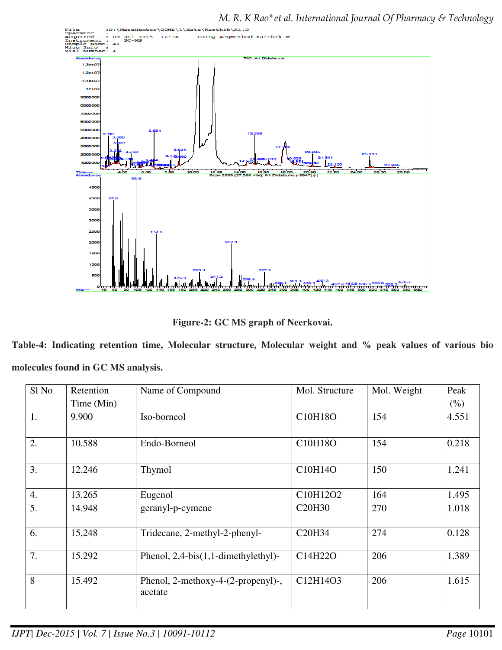

*M. R. K Rao\*et al. International Journal Of Pharmacy & Technology* 

**Figure-2: GC MS graph of Neerkovai.** 

**Table-4: Indicating retention time, Molecular structure, Molecular weight and % peak values of various bio molecules found in GC MS analysis.** 

| Sl <sub>No</sub> | Retention  | Name of Compound                              | Mol. Structure                  | Mol. Weight | Peak   |
|------------------|------------|-----------------------------------------------|---------------------------------|-------------|--------|
|                  | Time (Min) |                                               |                                 |             | $(\%)$ |
| 1.               | 9.900      | Iso-borneol                                   | C10H18O                         | 154         | 4.551  |
| 2.               | 10.588     | Endo-Borneol                                  | C10H18O                         | 154         | 0.218  |
| 3.               | 12.246     | Thymol                                        | C10H14O                         | 150         | 1.241  |
| $\overline{4}$ . | 13.265     | Eugenol                                       | C10H12O2                        | 164         | 1.495  |
| 5.               | 14.948     | geranyl-p-cymene                              | C <sub>20</sub> H <sub>30</sub> | 270         | 1.018  |
| 6.               | 15,248     | Tridecane, 2-methyl-2-phenyl-                 | C20H34                          | 274         | 0.128  |
| 7.               | 15.292     | Phenol, $2,4-bis(1,1-dimethylethyl)$ -        | C14H22O                         | 206         | 1.389  |
| 8                | 15.492     | Phenol, 2-methoxy-4-(2-propenyl)-,<br>acetate | C12H14O3                        | 206         | 1.615  |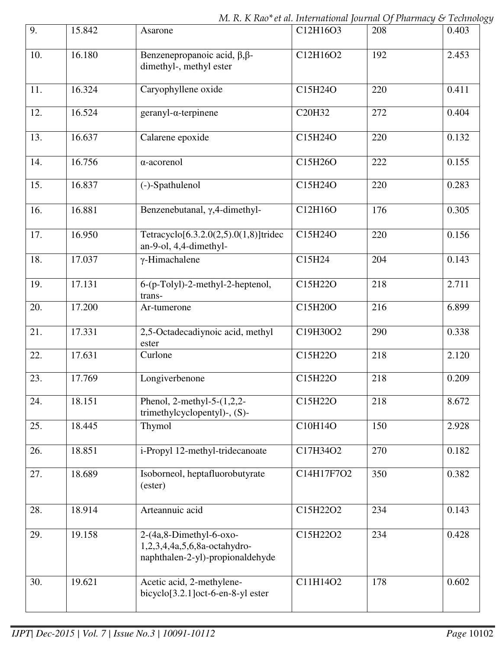*M. R. K Rao\*et al. International Journal Of Pharmacy & Technology* 

| 9.  | 15.842 | Asarone                                                                                        | C12H16O3   | 208 | 0.403 |
|-----|--------|------------------------------------------------------------------------------------------------|------------|-----|-------|
| 10. | 16.180 | Benzenepropanoic acid, $\beta$ , $\beta$ -<br>dimethyl-, methyl ester                          | C12H16O2   | 192 | 2.453 |
| 11. | 16.324 | Caryophyllene oxide                                                                            | C15H24O    | 220 | 0.411 |
| 12. | 16.524 | $geranyl-\alpha-terpinene$                                                                     | C20H32     | 272 | 0.404 |
| 13. | 16.637 | Calarene epoxide                                                                               | C15H24O    | 220 | 0.132 |
| 14. | 16.756 | $\alpha$ -acorenol                                                                             | C15H26O    | 222 | 0.155 |
| 15. | 16.837 | (-)-Spathulenol                                                                                | C15H24O    | 220 | 0.283 |
| 16. | 16.881 | Benzenebutanal, γ,4-dimethyl-                                                                  | C12H16O    | 176 | 0.305 |
| 17. | 16.950 | Tetracyclo[6.3.2.0(2,5).0(1,8)]tridec<br>an-9-ol, 4,4-dimethyl-                                | C15H24O    | 220 | 0.156 |
| 18. | 17.037 | $\gamma$ -Himachalene                                                                          | C15H24     | 204 | 0.143 |
| 19. | 17.131 | 6-(p-Tolyl)-2-methyl-2-heptenol,<br>trans-                                                     | C15H22O    | 218 | 2.711 |
| 20. | 17.200 | Ar-tumerone                                                                                    | C15H20O    | 216 | 6.899 |
| 21. | 17.331 | 2,5-Octadecadiynoic acid, methyl<br>ester                                                      | C19H30O2   | 290 | 0.338 |
| 22. | 17.631 | Curlone                                                                                        | C15H22O    | 218 | 2.120 |
| 23. | 17.769 | Longiverbenone                                                                                 | C15H22O    | 218 | 0.209 |
| 24. | 18.151 | Phenol, 2-methyl-5- $(1,2,2-$<br>trimethylcyclopentyl)-, (S)-                                  | C15H22O    | 218 | 8.672 |
| 25. | 18.445 | Thymol                                                                                         | C10H14O    | 150 | 2.928 |
| 26. | 18.851 | i-Propyl 12-methyl-tridecanoate                                                                | C17H34O2   | 270 | 0.182 |
| 27. | 18.689 | Isoborneol, heptafluorobutyrate<br>(ester)                                                     | C14H17F7O2 | 350 | 0.382 |
| 28. | 18.914 | Arteannuic acid                                                                                | C15H22O2   | 234 | 0.143 |
| 29. | 19.158 | $2-(4a, 8-Dimethyl-6-oxo-$<br>1,2,3,4,4a,5,6,8a-octahydro-<br>naphthalen-2-yl)-propionaldehyde | C15H22O2   | 234 | 0.428 |
| 30. | 19.621 | Acetic acid, 2-methylene-<br>bicyclo[3.2.1]oct-6-en-8-yl ester                                 | C11H14O2   | 178 | 0.602 |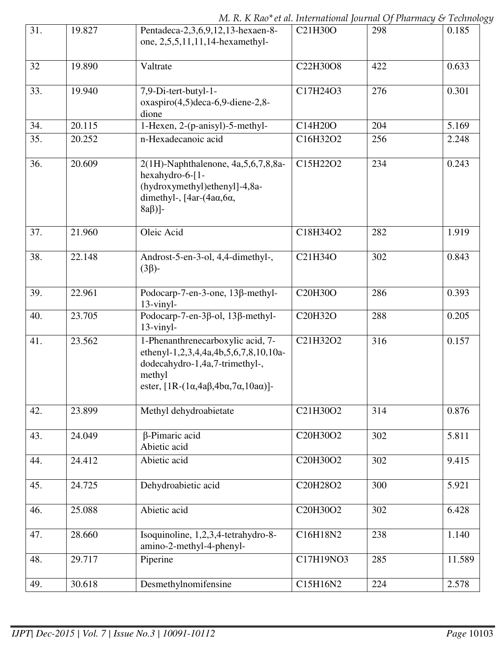*M. R. K Rao\*et al. International Journal Of Pharmacy & Technology* 

| 31. | 19.827 | Pentadeca-2,3,6,9,12,13-hexaen-8-<br>one, 2,5,5,11,11,14-hexamethyl-                                                                                                                   | C21H30O   | 298 | 0.185  |
|-----|--------|----------------------------------------------------------------------------------------------------------------------------------------------------------------------------------------|-----------|-----|--------|
| 32  | 19.890 | Valtrate                                                                                                                                                                               | C22H30O8  | 422 | 0.633  |
| 33. | 19.940 | 7,9-Di-tert-butyl-1-<br>$oxaspiro(4,5)$ deca-6,9-diene-2,8-<br>dione                                                                                                                   | C17H24O3  | 276 | 0.301  |
| 34. | 20.115 | 1-Hexen, 2-(p-anisyl)-5-methyl-                                                                                                                                                        | C14H20O   | 204 | 5.169  |
| 35. | 20.252 | n-Hexadecanoic acid                                                                                                                                                                    | C16H32O2  | 256 | 2.248  |
| 36. | 20.609 | 2(1H)-Naphthalenone, 4a, 5, 6, 7, 8, 8a-<br>hexahydro-6-[1-<br>(hydroxymethyl)ethenyl]-4,8a-<br>dimethyl-, $[4ar-(4a\alpha, 6\alpha,$<br>$8a\beta$ ]-                                  | C15H22O2  | 234 | 0.243  |
| 37. | 21.960 | Oleic Acid                                                                                                                                                                             | C18H34O2  | 282 | 1.919  |
| 38. | 22.148 | Androst-5-en-3-ol, 4,4-dimethyl-,<br>$(3\beta)$ -                                                                                                                                      | C21H34O   | 302 | 0.843  |
| 39. | 22.961 | Podocarp-7-en-3-one, 13β-methyl-<br>$13$ -vinyl-                                                                                                                                       | C20H30O   | 286 | 0.393  |
| 40. | 23.705 | Podocarp-7-en-3 $\beta$ -ol, 13 $\beta$ -methyl-<br>$13$ -vinyl-                                                                                                                       | C20H32O   | 288 | 0.205  |
| 41. | 23.562 | 1-Phenanthrenecarboxylic acid, 7-<br>ethenyl-1,2,3,4,4a,4b,5,6,7,8,10,10a-<br>dodecahydro-1,4a,7-trimethyl-,<br>methyl<br>ester, $[1R-(1\alpha,4a\beta,4b\alpha,7\alpha,10a\alpha)]$ - | C21H32O2  | 316 | 0.157  |
| 42. | 23.899 | Methyl dehydroabietate                                                                                                                                                                 | C21H30O2  | 314 | 0.876  |
| 43. | 24.049 | β-Pimaric acid<br>Abietic acid                                                                                                                                                         | C20H30O2  | 302 | 5.811  |
| 44. | 24.412 | Abietic acid                                                                                                                                                                           | C20H30O2  | 302 | 9.415  |
| 45. | 24.725 | Dehydroabietic acid                                                                                                                                                                    | C20H28O2  | 300 | 5.921  |
| 46. | 25.088 | Abietic acid                                                                                                                                                                           | C20H30O2  | 302 | 6.428  |
| 47. | 28.660 | Isoquinoline, 1,2,3,4-tetrahydro-8-<br>amino-2-methyl-4-phenyl-                                                                                                                        | C16H18N2  | 238 | 1.140  |
| 48. | 29.717 | Piperine                                                                                                                                                                               | C17H19NO3 | 285 | 11.589 |
| 49. | 30.618 | Desmethylnomifensine                                                                                                                                                                   | C15H16N2  | 224 | 2.578  |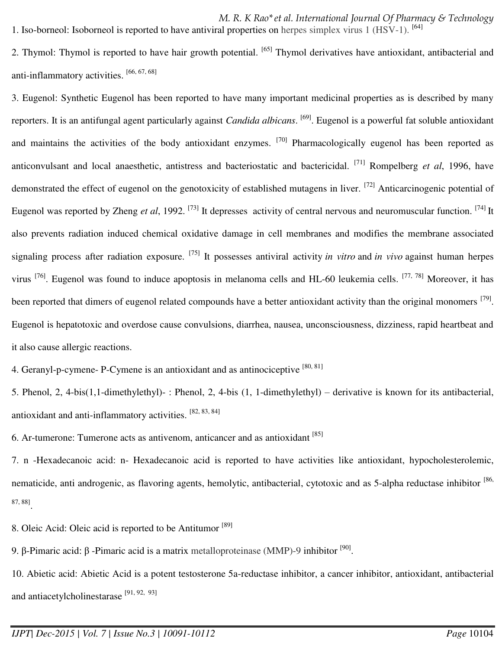*M. R. K Rao\*et al. International Journal Of Pharmacy & Technology*  1. Iso-borneol: Isoborneol is reported to have antiviral properties on herpes simplex virus 1 (HSV-1). [64]

2. Thymol: Thymol is reported to have hair growth potential. [65] Thymol derivatives have antioxidant, antibacterial and anti-inflammatory activities. [66, 67, 68]

3. Eugenol: Synthetic Eugenol has been reported to have many important medicinal properties as is described by many reporters. It is an antifungal agent particularly against *Candida albicans*. [69]. Eugenol is a powerful fat soluble antioxidant and maintains the activities of the body antioxidant enzymes. <sup>[70]</sup> Pharmacologically eugenol has been reported as anticonvulsant and local anaesthetic, antistress and bacteriostatic and bactericidal. [71] Rompelberg *et al*, 1996, have demonstrated the effect of eugenol on the genotoxicity of established mutagens in liver. <sup>[72]</sup> Anticarcinogenic potential of Eugenol was reported by Zheng et al, 1992. <sup>[73]</sup> It depresses activity of central nervous and neuromuscular function. <sup>[74]</sup> It also prevents radiation induced chemical oxidative damage in cell membranes and modifies the membrane associated signaling process after radiation exposure. [75] It possesses antiviral activity *in vitro* and *in vivo* against human herpes virus <sup>[76]</sup>. Eugenol was found to induce apoptosis in melanoma cells and HL-60 leukemia cells. <sup>[77, 78]</sup> Moreover, it has been reported that dimers of eugenol related compounds have a better antioxidant activity than the original monomers <sup>[79]</sup>. Eugenol is hepatotoxic and overdose cause convulsions, diarrhea, nausea, unconsciousness, dizziness, rapid heartbeat and it also cause allergic reactions.

4. Geranyl-p-cymene- P-Cymene is an antioxidant and as antinociceptive [80, 81]

5. Phenol, 2, 4-bis(1,1-dimethylethyl)- : Phenol, 2, 4-bis (1, 1-dimethylethyl) – derivative is known for its antibacterial, antioxidant and anti-inflammatory activities. [82, 83, 84]

6. Ar-tumerone: Tumerone acts as antivenom, anticancer and as antioxidant [85]

7. n -Hexadecanoic acid: n- Hexadecanoic acid is reported to have activities like antioxidant, hypocholesterolemic, nematicide, anti androgenic, as flavoring agents, hemolytic, antibacterial, cytotoxic and as 5-alpha reductase inhibitor [86, 87, 88] .

8. Oleic Acid: Oleic acid is reported to be Antitumor [89]

9. β-Pimaric acid: β -Pimaric acid is a matrix metalloproteinase (MMP)-9 inhibitor <sup>[90]</sup>.

10. Abietic acid: Abietic Acid is a potent testosterone 5a-reductase inhibitor, a cancer inhibitor, antioxidant, antibacterial and antiacetylcholinestarase  $[91, 92, 93]$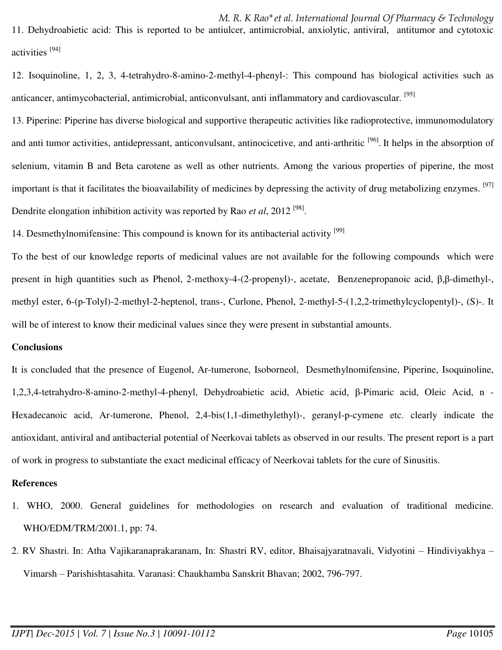*M. R. K Rao\*et al. International Journal Of Pharmacy & Technology*  11. Dehydroabietic acid: This is reported to be antiulcer, antimicrobial, anxiolytic, antiviral, antitumor and cytotoxic activities<sup>[94]</sup>

12. Isoquinoline, 1, 2, 3, 4-tetrahydro-8-amino-2-methyl-4-phenyl-: This compound has biological activities such as anticancer, antimycobacterial, antimicrobial, anticonvulsant, anti inflammatory and cardiovascular. <sup>[95]</sup>

13. Piperine: Piperine has diverse biological and supportive therapeutic activities like radioprotective, immunomodulatory and anti tumor activities, antidepressant, anticonvulsant, antinocicetive, and anti-arthritic <sup>[96]</sup>. It helps in the absorption of selenium, vitamin B and Beta carotene as well as other nutrients. Among the various properties of piperine, the most important is that it facilitates the bioavailability of medicines by depressing the activity of drug metabolizing enzymes. <sup>[97]</sup> Dendrite elongation inhibition activity was reported by Rao *et al*, 2012<sup>[98]</sup>.

14. Desmethylnomifensine: This compound is known for its antibacterial activity <sup>[99]</sup>

To the best of our knowledge reports of medicinal values are not available for the following compounds which were present in high quantities such as Phenol, 2-methoxy-4-(2-propenyl)-, acetate, Benzenepropanoic acid,  $\beta$ , $\beta$ -dimethyl-, methyl ester, 6-(p-Tolyl)-2-methyl-2-heptenol, trans-, Curlone, Phenol, 2-methyl-5-(1,2,2-trimethylcyclopentyl)-, (S)-. It will be of interest to know their medicinal values since they were present in substantial amounts.

### **Conclusions**

It is concluded that the presence of Eugenol, Ar-tumerone, Isoborneol, Desmethylnomifensine, Piperine, Isoquinoline, 1,2,3,4-tetrahydro-8-amino-2-methyl-4-phenyl, Dehydroabietic acid, Abietic acid, ȕ-Pimaric acid, Oleic Acid, n - Hexadecanoic acid, Ar-tumerone, Phenol, 2,4-bis(1,1-dimethylethyl)-, geranyl-p-cymene etc. clearly indicate the antioxidant, antiviral and antibacterial potential of Neerkovai tablets as observed in our results. The present report is a part of work in progress to substantiate the exact medicinal efficacy of Neerkovai tablets for the cure of Sinusitis.

### **References**

- 1. WHO, 2000. General guidelines for methodologies on research and evaluation of traditional medicine. WHO/EDM/TRM/2001.1, pp: 74.
- 2. RV Shastri. In: Atha Vajikaranaprakaranam, In: Shastri RV, editor, Bhaisajyaratnavali, Vidyotini Hindiviyakhya Vimarsh – Parishishtasahita. Varanasi: Chaukhamba Sanskrit Bhavan; 2002, 796-797.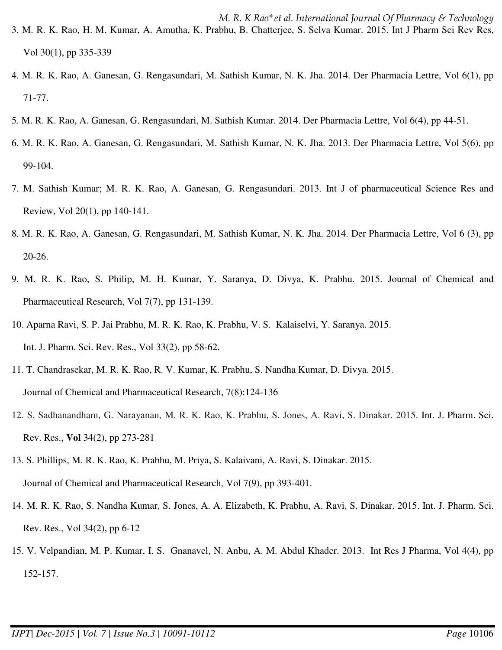- 3. M. R. K. Rao, H. M. Kumar, A. Amutha, K. Prabhu, B. Chatterjee, S. Selva Kumar. 2015. Int J Pharm Sci Rev Res, Vol 30(1), pp 335-339
- 4. M. R. K. Rao, A. Ganesan, G. Rengasundari, M. Sathish Kumar, N. K. Jha. 2014. Der Pharmacia Lettre, Vol 6(1), pp 71-77.
- 5. M. R. K. Rao, A. Ganesan, G. Rengasundari, M. Sathish Kumar. 2014. Der Pharmacia Lettre, Vol 6(4), pp 44-51.
- 6. M. R. K. Rao, A. Ganesan, G. Rengasundari, M. Sathish Kumar, N. K. Jha. 2013. Der Pharmacia Lettre, Vol 5(6), pp 99-104.
- 7. M. Sathish Kumar; M. R. K. Rao, A. Ganesan, G. Rengasundari. 2013. Int J of pharmaceutical Science Res and Review, Vol 20(1), pp 140-141.
- 8. M. R. K. Rao, A. Ganesan, G. Rengasundari, M. Sathish Kumar, N. K. Jha. 2014. Der Pharmacia Lettre, Vol 6 (3), pp 20-26.
- 9. M. R. K. Rao, S. Philip, M. H. Kumar, Y. Saranya, D. Divya, K. Prabhu. 2015. Journal of Chemical and Pharmaceutical Research, Vol 7(7), pp 131-139.
- 10. Aparna Ravi, S. P. Jai Prabhu, M. R. K. Rao, K. Prabhu, V. S. Kalaiselvi, Y. Saranya. 2015. Int. J. Pharm. Sci. Rev. Res., Vol 33(2), pp 58-62.
- 11. T. Chandrasekar, M. R. K. Rao, R. V. Kumar, K. Prabhu, S. Nandha Kumar, D. Divya. 2015. Journal of Chemical and Pharmaceutical Research, 7(8):124-136
- 12. S. Sadhanandham, G. Narayanan, M. R. K. Rao, K. Prabhu, S. Jones, A. Ravi, S. Dinakar. 2015. Int. J. Pharm. Sci. Rev. Res., **Vol** 34(2), pp 273-281
- 13. S. Phillips, M. R. K. Rao, K. Prabhu, M. Priya, S. Kalaivani, A. Ravi, S. Dinakar. 2015. Journal of Chemical and Pharmaceutical Research*,* Vol 7(9), pp 393-401.
- 14. M. R. K. Rao, S. Nandha Kumar, S. Jones, A. A. Elizabeth, K. Prabhu, A. Ravi, S. Dinakar. 2015. Int. J. Pharm. Sci. Rev. Res., Vol 34(2), pp 6-12
- 15. V. Velpandian, M. P. Kumar, I. S. Gnanavel, N. Anbu, A. M. Abdul Khader. 2013. Int Res J Pharma, Vol 4(4), pp 152-157.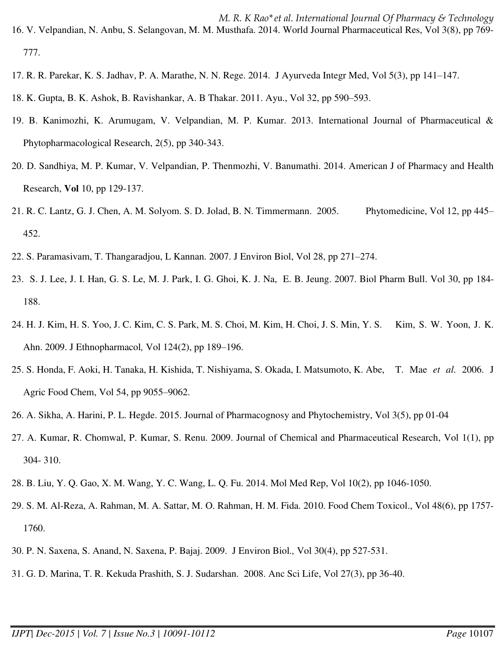*M. R. K Rao\*et al. International Journal Of Pharmacy & Technology*  16. V. Velpandian, N. Anbu, S. Selangovan, M. M. Musthafa. 2014. World Journal Pharmaceutical Res, Vol 3(8), pp 769- 777.

- 17. R. R. Parekar, K. S. Jadhav, P. A. Marathe, N. N. Rege. 2014. J Ayurveda Integr Med, Vol 5(3), pp 141–147.
- 18. K. Gupta, B. K. Ashok, B. Ravishankar, A. B Thakar. 2011. Ayu., Vol 32, pp 590–593.
- 19. B. Kanimozhi, K. Arumugam, V. Velpandian, M. P. Kumar. 2013. International Journal of Pharmaceutical & Phytopharmacological Research, 2(5), pp 340-343.
- 20. D. Sandhiya, M. P. Kumar, V. Velpandian, P. Thenmozhi, V. Banumathi. 2014. American J of Pharmacy and Health Research, **Vol** 10, pp 129-137.
- 21. R. C. Lantz, G. J. Chen, A. M. Solyom. S. D. Jolad, B. N. Timmermann. 2005. Phytomedicine, Vol 12, pp 445– 452.
- 22. S. Paramasivam, T. Thangaradjou, L Kannan. 2007. J Environ Biol, Vol 28, pp 271–274.
- 23. S. J. Lee, J. I. Han, G. S. Le, M. J. Park, I. G. Ghoi, K. J. Na, E. B. Jeung. 2007. Biol Pharm Bull. Vol 30, pp 184- 188.
- 24. H. J. Kim, H. S. Yoo, J. C. Kim, C. S. Park, M. S. Choi, M. Kim, H. Choi, J. S. Min, Y. S. Kim, S. W. Yoon, J. K. Ahn. 2009. J Ethnopharmacol*,* Vol 124(2), pp 189–196.
- 25. S. Honda, F. Aoki, H. Tanaka, H. Kishida, T. Nishiyama, S. Okada, I. Matsumoto, K. Abe, T. Mae *et al*. 2006. J Agric Food Chem, Vol 54, pp 9055–9062.
- 26. A. Sikha, A. Harini, P. L. Hegde. 2015. Journal of Pharmacognosy and Phytochemistry, Vol 3(5), pp 01-04
- 27. A. Kumar, R. Chomwal, P. Kumar, S. Renu. 2009. Journal of Chemical and Pharmaceutical Research, Vol 1(1), pp 304- 310.
- 28. B. Liu, Y. Q. Gao, X. M. Wang, Y. C. Wang, L. Q. Fu. 2014. Mol Med Rep, Vol 10(2), pp 1046-1050.
- 29. S. M. Al-Reza, A. Rahman, M. A. Sattar, M. O. Rahman, H. M. Fida. 2010. Food Chem Toxicol., Vol 48(6), pp 1757- 1760.
- 30. P. N. Saxena, S. Anand, N. Saxena, P. Bajaj. 2009. J Environ Biol*.,* Vol 30(4), pp 527-531.
- 31. G. D. Marina, T. R. Kekuda Prashith, S. J. Sudarshan. 2008. Anc Sci Life, Vol 27(3), pp 36-40.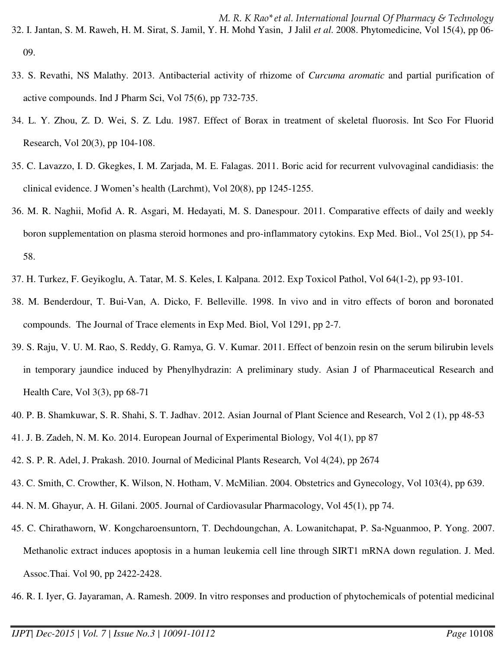*M. R. K Rao\*et al. International Journal Of Pharmacy & Technology*  32. I. Jantan, S. M. Raweh, H. M. Sirat, S. Jamil, Y. H. Mohd Yasin, J Jalil *et al*. 2008. Phytomedicine*,* Vol 15(4), pp 06- 09.

- 33. S. Revathi, NS Malathy. 2013. Antibacterial activity of rhizome of *Curcuma aromatic* and partial purification of active compounds. Ind J Pharm Sci, Vol 75(6), pp 732-735.
- 34. L. Y. Zhou, Z. D. Wei, S. Z. Ldu. 1987. Effect of Borax in treatment of skeletal fluorosis. Int Sco For Fluorid Research, Vol 20(3), pp 104-108.
- 35. C. Lavazzo, I. D. Gkegkes, I. M. Zarjada, M. E. Falagas. 2011. Boric acid for recurrent vulvovaginal candidiasis: the clinical evidence. J Women's health (Larchmt), Vol 20(8), pp 1245-1255.
- 36. M. R. Naghii, Mofid A. R. Asgari, M. Hedayati, M. S. Danespour. 2011. Comparative effects of daily and weekly boron supplementation on plasma steroid hormones and pro-inflammatory cytokins. Exp Med. Biol., Vol 25(1), pp 54- 58.
- 37. H. Turkez, F. Geyikoglu, A. Tatar, M. S. Keles, I. Kalpana. 2012. Exp Toxicol Pathol, Vol 64(1-2), pp 93-101.
- 38. M. Benderdour, T. Bui-Van, A. Dicko, F. Belleville. 1998. In vivo and in vitro effects of boron and boronated compounds. The Journal of Trace elements in Exp Med. Biol, Vol 1291, pp 2-7.
- 39. S. Raju, V. U. M. Rao, S. Reddy, G. Ramya, G. V. Kumar. 2011. Effect of benzoin resin on the serum bilirubin levels in temporary jaundice induced by Phenylhydrazin: A preliminary study. Asian J of Pharmaceutical Research and Health Care, Vol 3(3), pp 68-71
- 40. P. B. Shamkuwar, S. R. Shahi, S. T. Jadhav. 2012. Asian Journal of Plant Science and Research, Vol 2 (1), pp 48-53
- 41. J. B. Zadeh, N. M. Ko. 2014. European Journal of Experimental Biology*,* Vol 4(1), pp 87
- 42. S. P. R. Adel, J. Prakash. 2010. Journal of Medicinal Plants Research*,* Vol 4(24), pp 2674
- 43. C. Smith, C. Crowther, K. Wilson, N. Hotham, V. McMilian. 2004. Obstetrics and Gynecology, Vol 103(4), pp 639.
- 44. N. M. Ghayur, A. H. Gilani. 2005. Journal of Cardiovasular Pharmacology, Vol 45(1), pp 74.
- 45. C. Chirathaworn, W. Kongcharoensuntorn, T. Dechdoungchan, A. Lowanitchapat, P. Sa-Nguanmoo, P. Yong. 2007. Methanolic extract induces apoptosis in a human leukemia cell line through SIRT1 mRNA down regulation. J. Med. Assoc.Thai. Vol 90, pp 2422-2428.

46. R. I. Iyer, G. Jayaraman, A. Ramesh. 2009. In vitro responses and production of phytochemicals of potential medicinal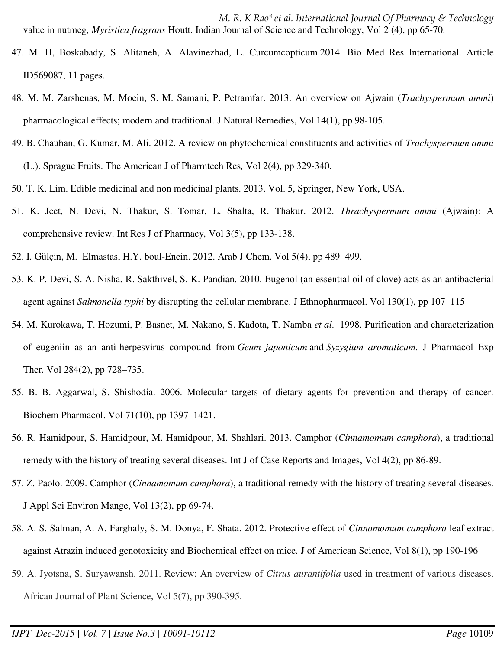*M. R. K Rao\*et al. International Journal Of Pharmacy & Technology*  value in nutmeg, *Myristica fragrans* Houtt. Indian Journal of Science and Technology, Vol 2 (4), pp 65-70.

- 47. M. H, Boskabady, S. Alitaneh, A. Alavinezhad, L. Curcumcopticum.2014. Bio Med Res International. Article ID569087, 11 pages.
- 48. M. M. Zarshenas, M. Moein, S. M. Samani, P. Petramfar. 2013. An overview on Ajwain (*Trachyspermum ammi*) pharmacological effects; modern and traditional. J Natural Remedies, Vol 14(1), pp 98-105.
- 49. B. Chauhan, G. Kumar, M. Ali. 2012. A review on phytochemical constituents and activities of *Trachyspermum ammi*  (L.). Sprague Fruits. The American J of Pharmtech Res*,* Vol 2(4), pp 329-340.
- 50. T. K. Lim. Edible medicinal and non medicinal plants. 2013. Vol. 5, Springer, New York, USA.
- 51. K. Jeet, N. Devi, N. Thakur, S. Tomar, L. Shalta, R. Thakur. 2012. *Thrachyspermum ammi* (Ajwain): A comprehensive review. Int Res J of Pharmacy*,* Vol 3(5), pp 133-138.
- 52. I. Gülçin, M. Elmastas, H.Y. boul-Enein. 2012. Arab J Chem. Vol 5(4), pp 489–499.
- 53. K. P. Devi, S. A. Nisha, R. Sakthivel, S. K. Pandian. 2010. Eugenol (an essential oil of clove) acts as an antibacterial agent against *Salmonella typhi* by disrupting the cellular membrane. J Ethnopharmacol. Vol 130(1), pp 107–115
- 54. M. Kurokawa, T. Hozumi, P. Basnet, M. Nakano, S. Kadota, T. Namba *et al*. 1998. Purification and characterization of eugeniin as an anti-herpesvirus compound from *Geum japonicum* and *Syzygium aromaticum*. J Pharmacol Exp Ther*.* Vol 284(2), pp 728–735.
- 55. B. B. Aggarwal, S. Shishodia. 2006. Molecular targets of dietary agents for prevention and therapy of cancer*.*  Biochem Pharmacol. Vol 71(10), pp 1397–1421.
- 56. R. Hamidpour, S. Hamidpour, M. Hamidpour, M. Shahlari. 2013. Camphor (*Cinnamomum camphora*), a traditional remedy with the history of treating several diseases. Int J of Case Reports and Images, Vol 4(2), pp 86-89.
- 57. Z. Paolo. 2009. Camphor (*Cinnamomum camphora*), a traditional remedy with the history of treating several diseases. J Appl Sci Environ Mange, Vol 13(2), pp 69-74.
- 58. A. S. Salman, A. A. Farghaly, S. M. Donya, F. Shata. 2012. Protective effect of *Cinnamomum camphora* leaf extract against Atrazin induced genotoxicity and Biochemical effect on mice. J of American Science, Vol 8(1), pp 190-196
- 59. A. Jyotsna, S. Suryawansh. 2011. Review: An overview of *Citrus aurantifolia* used in treatment of various diseases. African Journal of Plant Science, Vol 5(7), pp 390-395.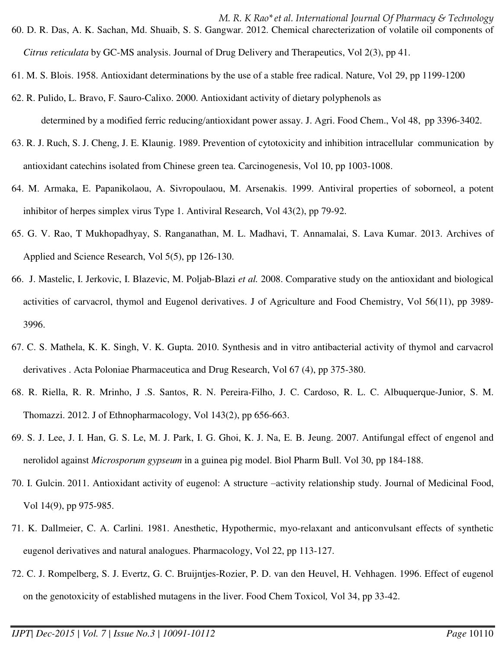*M. R. K Rao\*et al. International Journal Of Pharmacy & Technology*  60. D. R. Das, A. K. Sachan, Md. Shuaib, S. S. Gangwar. 2012. Chemical charecterization of volatile oil components of *Citrus reticulata* by GC-MS analysis. Journal of Drug Delivery and Therapeutics, Vol 2(3), pp 41.

- 61. M. S. Blois. 1958. Antioxidant determinations by the use of a stable free radical. Nature, Vol 29, pp 1199-1200
- 62. R. Pulido, L. Bravo, F. Sauro-Calixo. 2000. Antioxidant activity of dietary polyphenols as determined by a modified ferric reducing/antioxidant power assay. J. Agri. Food Chem., Vol 48, pp 3396-3402.
- 63. R. J. Ruch, S. J. Cheng, J. E. Klaunig. 1989. Prevention of cytotoxicity and inhibition intracellular communication by antioxidant catechins isolated from Chinese green tea. Carcinogenesis, Vol 10, pp 1003-1008.
- 64. M. Armaka, E. Papanikolaou, A. Sivropoulaou, M. Arsenakis. 1999. Antiviral properties of soborneol, a potent inhibitor of herpes simplex virus Type 1. Antiviral Research, Vol 43(2), pp 79-92.
- 65. G. V. Rao, T Mukhopadhyay, S. Ranganathan, M. L. Madhavi, T. Annamalai, S. Lava Kumar. 2013. Archives of Applied and Science Research, Vol 5(5), pp 126-130.
- 66. J. Mastelic, I. Jerkovic, I. Blazevic, M. Poljab-Blazi *et al.* 2008. Comparative study on the antioxidant and biological activities of carvacrol, thymol and Eugenol derivatives. J of Agriculture and Food Chemistry, Vol 56(11), pp 3989- 3996.
- 67. C. S. Mathela, K. K. Singh, V. K. Gupta. 2010. Synthesis and in vitro antibacterial activity of thymol and carvacrol derivatives . Acta Poloniae Pharmaceutica and Drug Research, Vol 67 (4), pp 375-380.
- 68. R. Riella, R. R. Mrinho, J .S. Santos, R. N. Pereira-Filho, J. C. Cardoso, R. L. C. Albuquerque-Junior, S. M. Thomazzi. 2012. J of Ethnopharmacology, Vol 143(2), pp 656-663.
- 69. S. J. Lee, J. I. Han, G. S. Le, M. J. Park, I. G. Ghoi, K. J. Na, E. B. Jeung. 2007. Antifungal effect of engenol and nerolidol against *Microsporum gypseum* in a guinea pig model. Biol Pharm Bull. Vol 30, pp 184-188.
- 70. I. Gulcin. 2011. Antioxidant activity of eugenol: A structure –activity relationship study. Journal of Medicinal Food, Vol 14(9), pp 975-985.
- 71. K. Dallmeier, C. A. Carlini. 1981. Anesthetic, Hypothermic, myo-relaxant and anticonvulsant effects of synthetic eugenol derivatives and natural analogues. Pharmacology, Vol 22, pp 113-127.
- 72. C. J. Rompelberg, S. J. Evertz, G. C. Bruijntjes-Rozier, P. D. van den Heuvel, H. Vehhagen. 1996. Effect of eugenol on the genotoxicity of established mutagens in the liver. Food Chem Toxicol*,* Vol 34, pp 33-42.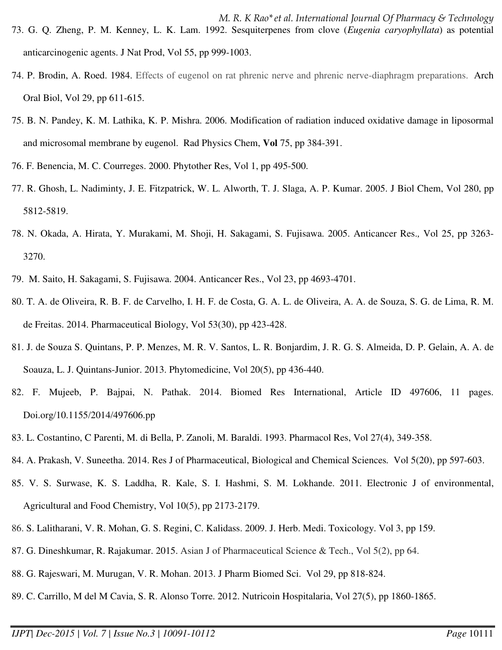- *M. R. K Rao\*et al. International Journal Of Pharmacy & Technology*  73. G. Q. Zheng, P. M. Kenney, L. K. Lam. 1992. Sesquiterpenes from clove (*Eugenia caryophyllata*) as potential anticarcinogenic agents. J Nat Prod, Vol 55, pp 999-1003.
- 74. P. Brodin, A. Roed. 1984. Effects of eugenol on rat phrenic nerve and phrenic nerve-diaphragm preparations. Arch Oral Biol, Vol 29, pp 611-615.
- 75. B. N. Pandey, K. M. Lathika, K. P. Mishra. 2006. Modification of radiation induced oxidative damage in liposormal and microsomal membrane by eugenol. Rad Physics Chem, **Vol** 75, pp 384-391.
- 76. F. Benencia, M. C. Courreges. 2000. Phytother Res, Vol 1, pp 495-500.
- 77. R. Ghosh, L. Nadiminty, J. E. Fitzpatrick, W. L. Alworth, T. J. Slaga, A. P. Kumar. 2005. J Biol Chem, Vol 280, pp 5812-5819.
- 78. N. Okada, A. Hirata, Y. Murakami, M. Shoji, H. Sakagami, S. Fujisawa. 2005. Anticancer Res.*,* Vol 25, pp 3263- 3270.
- 79. M. Saito, H. Sakagami, S. Fujisawa. 2004. Anticancer Res., Vol 23, pp 4693-4701.
- 80. T. A. de Oliveira, R. B. F. de Carvelho, I. H. F. de Costa, G. A. L. de Oliveira, A. A. de Souza, S. G. de Lima, R. M. de Freitas. 2014. Pharmaceutical Biology, Vol 53(30), pp 423-428.
- 81. J. de Souza S. Quintans, P. P. Menzes, M. R. V. Santos, L. R. Bonjardim, J. R. G. S. Almeida, D. P. Gelain, A. A. de Soauza, L. J. Quintans-Junior. 2013. Phytomedicine, Vol 20(5), pp 436-440.
- 82. F. Mujeeb, P. Bajpai, N. Pathak. 2014. Biomed Res International, Article ID 497606, 11 pages. Doi.org/10.1155/2014/497606.pp
- 83. L. Costantino, C Parenti, M. di Bella, P. Zanoli, M. Baraldi. 1993. Pharmacol Res, Vol 27(4), 349-358.
- 84. A. Prakash, V. Suneetha. 2014. Res J of Pharmaceutical, Biological and Chemical Sciences*.* Vol 5(20), pp 597-603.
- 85. V. S. Surwase, K. S. Laddha, R. Kale, S. I. Hashmi, S. M. Lokhande. 2011. Electronic J of environmental, Agricultural and Food Chemistry, Vol 10(5), pp 2173-2179.
- 86. S. Lalitharani, V. R. Mohan, G. S. Regini, C. Kalidass. 2009. J. Herb. Medi. Toxicology. Vol 3, pp 159.
- 87. G. Dineshkumar, R. Rajakumar. 2015. Asian J of Pharmaceutical Science & Tech., Vol 5(2), pp 64.
- 88. G. Rajeswari, M. Murugan, V. R. Mohan. 2013. J Pharm Biomed Sci. Vol 29, pp 818-824.
- 89. C. Carrillo, M del M Cavia, S. R. Alonso Torre. 2012. Nutricoin Hospitalaria, Vol 27(5), pp 1860-1865.